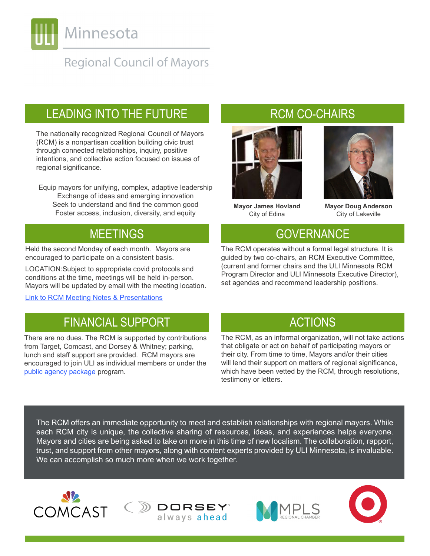

## **Regional Council of Mayors**

## LEADING INTO THE FUTURE

The nationally recognized Regional Council of Mayors (RCM) is a nonpartisan coalition building civic trust through connected relationships, inquiry, positive intentions, and collective action focused on issues of regional significance.

Equip mayors for unifying, complex, adaptive leadership Exchange of ideas and emerging innovation Seek to understand and find the common good Foster access, inclusion, diversity, and equity

Held the second Monday of each month. Mayors are encouraged to participate on a consistent basis.

LOCATION:Subject to appropriate covid protocols and conditions at the time, meetings will be held in-person. Mayors will be updated by email with the meeting location.

[Link to RCM Meeting Notes & Presentations](https://minnesota.uli.org/get-involved/rcm/rcm-meeting-notes/)

## FINANCIAL SUPPORT ACTIONS

There are no dues. The RCM is supported by contributions from Target, Comcast, and Dorsey & Whitney; parking, lunch and staff support are provided. RCM mayors are encouraged to join ULI as individual members or under the [public agency package](https://ulidigitalmarketing.blob.core.windows.net/ulidcnc/sites/51/2021/04/FY21-Membership-Application_Public-Agency_US.pdf) program.

## RCM CO-CHAIRS



**Mayor James Hovland** City of Edina

**Mayor Doug Anderson** City of Lakeville

## MEETINGS GOVERNANCE

The RCM operates without a formal legal structure. It is guided by two co-chairs, an RCM Executive Committee, (current and former chairs and the ULI Minnesota RCM Program Director and ULI Minnesota Executive Director), set agendas and recommend leadership positions.

The RCM, as an informal organization, will not take actions that obligate or act on behalf of participating mayors or their city. From time to time, Mayors and/or their cities will lend their support on matters of regional significance, which have been vetted by the RCM, through resolutions, testimony or letters.

The RCM offers an immediate opportunity to meet and establish relationships with regional mayors. While each RCM city is unique, the collective sharing of resources, ideas, and experiences helps everyone. Mayors and cities are being asked to take on more in this time of new localism. The collaboration, rapport, trust, and support from other mayors, along with content experts provided by ULI Minnesota, is invaluable. We can accomplish so much more when we work together.